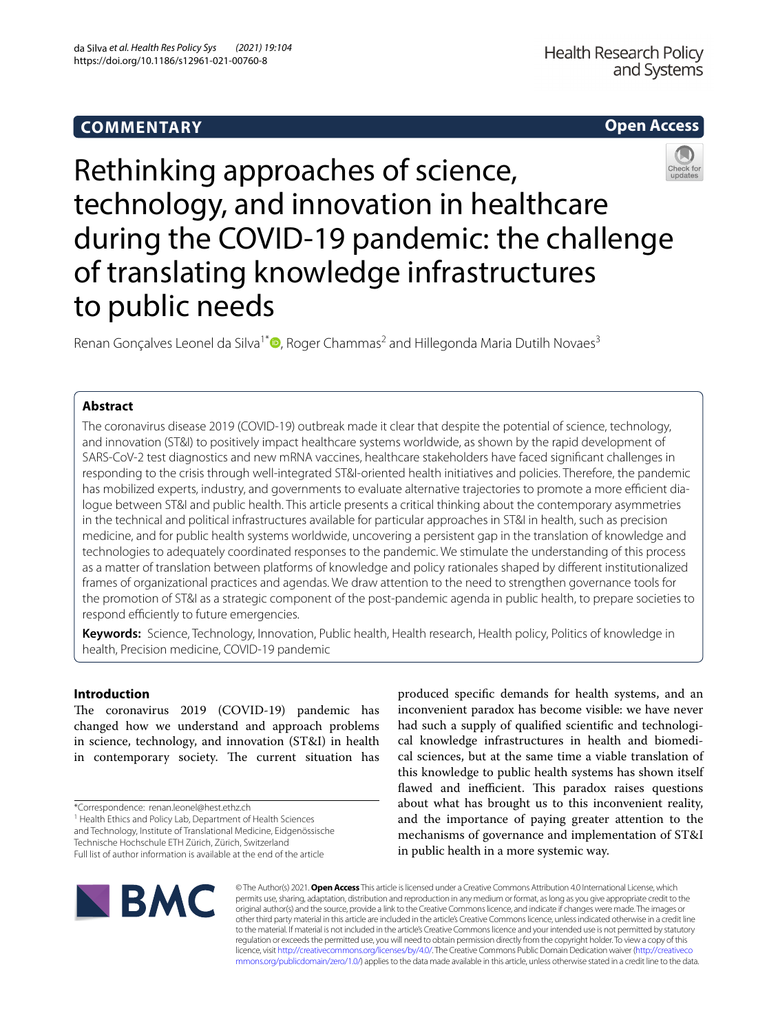# **COMMENTARY**

# **Open Access**



Rethinking approaches of science, technology, and innovation in healthcare during the COVID-19 pandemic: the challenge of translating knowledge infrastructures to public needs

Renan Gonçalves Leonel da Silva<sup>1\*</sup> $\bullet$ [,](http://orcid.org/0000-0001-9679-6389) Roger Chammas<sup>2</sup> and Hillegonda Maria Dutilh Novaes<sup>3</sup>

## **Abstract**

The coronavirus disease 2019 (COVID-19) outbreak made it clear that despite the potential of science, technology, and innovation (ST&I) to positively impact healthcare systems worldwide, as shown by the rapid development of SARS-CoV-2 test diagnostics and new mRNA vaccines, healthcare stakeholders have faced signifcant challenges in responding to the crisis through well-integrated ST&I-oriented health initiatives and policies. Therefore, the pandemic has mobilized experts, industry, and governments to evaluate alternative trajectories to promote a more efficient dialogue between ST&I and public health. This article presents a critical thinking about the contemporary asymmetries in the technical and political infrastructures available for particular approaches in ST&I in health, such as precision medicine, and for public health systems worldwide, uncovering a persistent gap in the translation of knowledge and technologies to adequately coordinated responses to the pandemic. We stimulate the understanding of this process as a matter of translation between platforms of knowledge and policy rationales shaped by diferent institutionalized frames of organizational practices and agendas. We draw attention to the need to strengthen governance tools for the promotion of ST&I as a strategic component of the post-pandemic agenda in public health, to prepare societies to respond efficiently to future emergencies.

**Keywords:** Science, Technology, Innovation, Public health, Health research, Health policy, Politics of knowledge in health, Precision medicine, COVID-19 pandemic

## **Introduction**

The coronavirus 2019 (COVID-19) pandemic has changed how we understand and approach problems in science, technology, and innovation (ST&I) in health in contemporary society. The current situation has

\*Correspondence: renan.leonel@hest.ethz.ch

<sup>1</sup> Health Ethics and Policy Lab, Department of Health Sciences

and Technology, Institute of Translational Medicine, Eidgenössische Technische Hochschule ETH Zürich, Zürich, Switzerland

Full list of author information is available at the end of the article

produced specifc demands for health systems, and an inconvenient paradox has become visible: we have never had such a supply of qualifed scientifc and technological knowledge infrastructures in health and biomedical sciences, but at the same time a viable translation of this knowledge to public health systems has shown itself flawed and inefficient. This paradox raises questions about what has brought us to this inconvenient reality, and the importance of paying greater attention to the mechanisms of governance and implementation of ST&I in public health in a more systemic way.



© The Author(s) 2021. **Open Access** This article is licensed under a Creative Commons Attribution 4.0 International License, which permits use, sharing, adaptation, distribution and reproduction in any medium or format, as long as you give appropriate credit to the original author(s) and the source, provide a link to the Creative Commons licence, and indicate if changes were made. The images or other third party material in this article are included in the article's Creative Commons licence, unless indicated otherwise in a credit line to the material. If material is not included in the article's Creative Commons licence and your intended use is not permitted by statutory regulation or exceeds the permitted use, you will need to obtain permission directly from the copyright holder. To view a copy of this licence, visit [http://creativecommons.org/licenses/by/4.0/.](http://creativecommons.org/licenses/by/4.0/) The Creative Commons Public Domain Dedication waiver ([http://creativeco](http://creativecommons.org/publicdomain/zero/1.0/) [mmons.org/publicdomain/zero/1.0/](http://creativecommons.org/publicdomain/zero/1.0/)) applies to the data made available in this article, unless otherwise stated in a credit line to the data.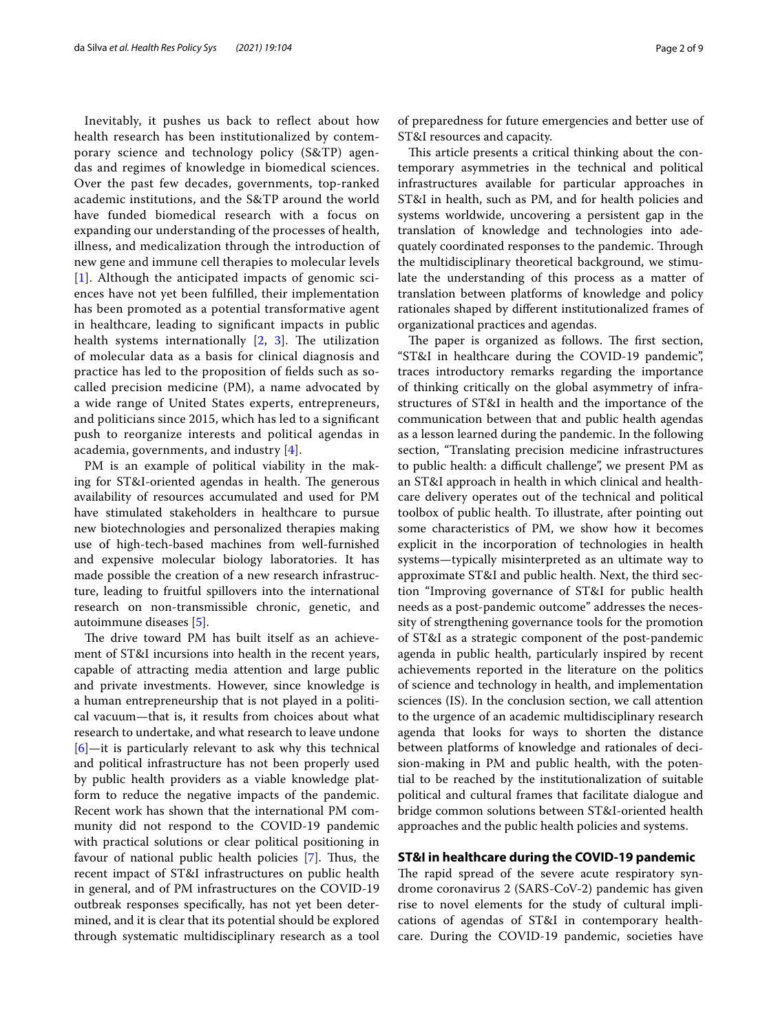Inevitably, it pushes us back to refect about how health research has been institutionalized by contemporary science and technology policy (S&TP) agendas and regimes of knowledge in biomedical sciences. Over the past few decades, governments, top-ranked academic institutions, and the S&TP around the world have funded biomedical research with a focus on expanding our understanding of the processes of health, illness, and medicalization through the introduction of new gene and immune cell therapies to molecular levels [[1](#page-7-0)]. Although the anticipated impacts of genomic sciences have not yet been fulflled, their implementation has been promoted as a potential transformative agent in healthcare, leading to signifcant impacts in public health systems internationally  $[2, 3]$  $[2, 3]$  $[2, 3]$  $[2, 3]$ . The utilization of molecular data as a basis for clinical diagnosis and practice has led to the proposition of felds such as socalled precision medicine (PM), a name advocated by a wide range of United States experts, entrepreneurs, and politicians since 2015, which has led to a signifcant push to reorganize interests and political agendas in academia, governments, and industry [[4\]](#page-7-3).

PM is an example of political viability in the making for ST&I-oriented agendas in health. The generous availability of resources accumulated and used for PM have stimulated stakeholders in healthcare to pursue new biotechnologies and personalized therapies making use of high-tech-based machines from well-furnished and expensive molecular biology laboratories. It has made possible the creation of a new research infrastructure, leading to fruitful spillovers into the international research on non-transmissible chronic, genetic, and autoimmune diseases [[5\]](#page-7-4).

The drive toward PM has built itself as an achievement of ST&I incursions into health in the recent years, capable of attracting media attention and large public and private investments. However, since knowledge is a human entrepreneurship that is not played in a political vacuum—that is, it results from choices about what research to undertake, and what research to leave undone [[6\]](#page-7-5)—it is particularly relevant to ask why this technical and political infrastructure has not been properly used by public health providers as a viable knowledge platform to reduce the negative impacts of the pandemic. Recent work has shown that the international PM community did not respond to the COVID-19 pandemic with practical solutions or clear political positioning in favour of national public health policies [[7\]](#page-7-6). Thus, the recent impact of ST&I infrastructures on public health in general, and of PM infrastructures on the COVID-19 outbreak responses specifcally, has not yet been determined, and it is clear that its potential should be explored through systematic multidisciplinary research as a tool of preparedness for future emergencies and better use of ST&I resources and capacity.

This article presents a critical thinking about the contemporary asymmetries in the technical and political infrastructures available for particular approaches in ST&I in health, such as PM, and for health policies and systems worldwide, uncovering a persistent gap in the translation of knowledge and technologies into adequately coordinated responses to the pandemic. Through the multidisciplinary theoretical background, we stimulate the understanding of this process as a matter of translation between platforms of knowledge and policy rationales shaped by diferent institutionalized frames of organizational practices and agendas.

The paper is organized as follows. The first section, "ST&I in healthcare during the COVID-19 pandemic", traces introductory remarks regarding the importance of thinking critically on the global asymmetry of infrastructures of ST&I in health and the importance of the communication between that and public health agendas as a lesson learned during the pandemic. In the following section, "Translating precision medicine infrastructures to public health: a difficult challenge", we present PM as an ST&I approach in health in which clinical and healthcare delivery operates out of the technical and political toolbox of public health. To illustrate, after pointing out some characteristics of PM, we show how it becomes explicit in the incorporation of technologies in health systems—typically misinterpreted as an ultimate way to approximate ST&I and public health. Next, the third section "Improving governance of ST&I for public health needs as a post-pandemic outcome" addresses the necessity of strengthening governance tools for the promotion of ST&I as a strategic component of the post-pandemic agenda in public health, particularly inspired by recent achievements reported in the literature on the politics of science and technology in health, and implementation sciences (IS). In the conclusion section, we call attention to the urgence of an academic multidisciplinary research agenda that looks for ways to shorten the distance between platforms of knowledge and rationales of decision-making in PM and public health, with the potential to be reached by the institutionalization of suitable political and cultural frames that facilitate dialogue and bridge common solutions between ST&I-oriented health approaches and the public health policies and systems.

## **ST&I in healthcare during the COVID‑19 pandemic**

The rapid spread of the severe acute respiratory syndrome coronavirus 2 (SARS-CoV-2) pandemic has given rise to novel elements for the study of cultural implications of agendas of ST&I in contemporary healthcare. During the COVID-19 pandemic, societies have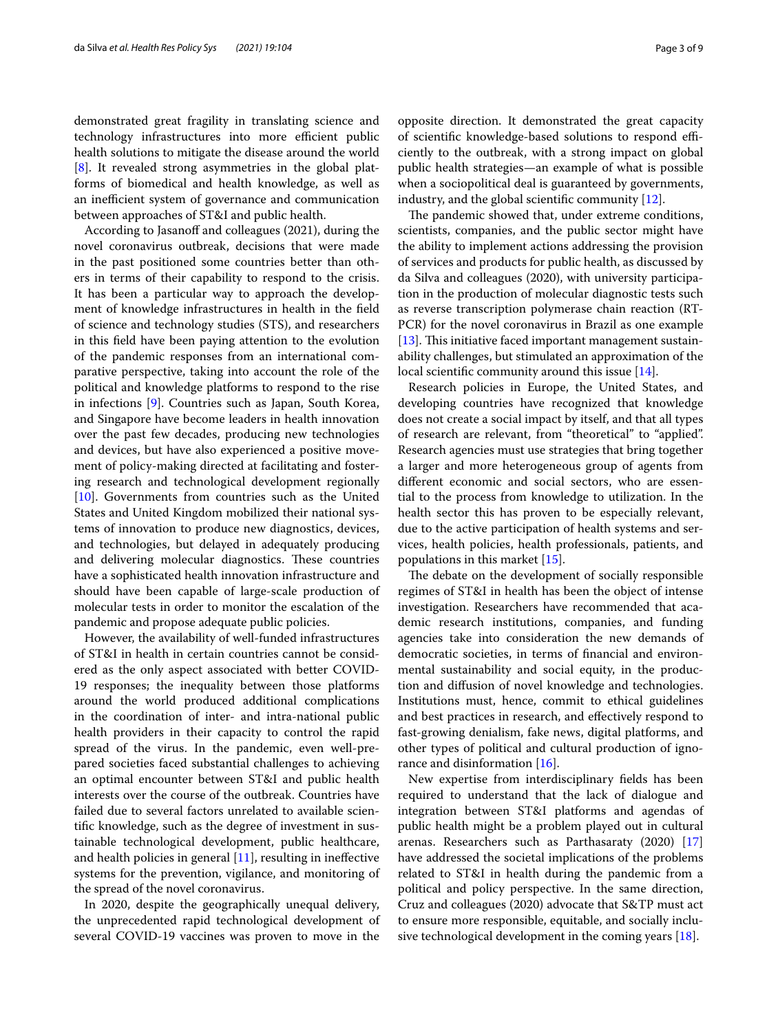demonstrated great fragility in translating science and technology infrastructures into more efficient public health solutions to mitigate the disease around the world [[8\]](#page-7-7). It revealed strong asymmetries in the global platforms of biomedical and health knowledge, as well as an inefficient system of governance and communication between approaches of ST&I and public health.

According to Jasanoff and colleagues (2021), during the novel coronavirus outbreak, decisions that were made in the past positioned some countries better than others in terms of their capability to respond to the crisis. It has been a particular way to approach the development of knowledge infrastructures in health in the feld of science and technology studies (STS), and researchers in this feld have been paying attention to the evolution of the pandemic responses from an international comparative perspective, taking into account the role of the political and knowledge platforms to respond to the rise in infections [\[9](#page-7-8)]. Countries such as Japan, South Korea, and Singapore have become leaders in health innovation over the past few decades, producing new technologies and devices, but have also experienced a positive movement of policy-making directed at facilitating and fostering research and technological development regionally [[10\]](#page-7-9). Governments from countries such as the United States and United Kingdom mobilized their national systems of innovation to produce new diagnostics, devices, and technologies, but delayed in adequately producing and delivering molecular diagnostics. These countries have a sophisticated health innovation infrastructure and should have been capable of large-scale production of molecular tests in order to monitor the escalation of the pandemic and propose adequate public policies.

However, the availability of well-funded infrastructures of ST&I in health in certain countries cannot be considered as the only aspect associated with better COVID-19 responses; the inequality between those platforms around the world produced additional complications in the coordination of inter- and intra-national public health providers in their capacity to control the rapid spread of the virus. In the pandemic, even well-prepared societies faced substantial challenges to achieving an optimal encounter between ST&I and public health interests over the course of the outbreak. Countries have failed due to several factors unrelated to available scientifc knowledge, such as the degree of investment in sustainable technological development, public healthcare, and health policies in general [[11\]](#page-8-0), resulting in inefective systems for the prevention, vigilance, and monitoring of the spread of the novel coronavirus.

In 2020, despite the geographically unequal delivery, the unprecedented rapid technological development of several COVID-19 vaccines was proven to move in the opposite direction. It demonstrated the great capacity of scientific knowledge-based solutions to respond efficiently to the outbreak, with a strong impact on global public health strategies—an example of what is possible when a sociopolitical deal is guaranteed by governments, industry, and the global scientifc community [\[12](#page-8-1)].

The pandemic showed that, under extreme conditions, scientists, companies, and the public sector might have the ability to implement actions addressing the provision of services and products for public health, as discussed by da Silva and colleagues (2020), with university participation in the production of molecular diagnostic tests such as reverse transcription polymerase chain reaction (RT-PCR) for the novel coronavirus in Brazil as one example [ $13$ ]. This initiative faced important management sustainability challenges, but stimulated an approximation of the local scientific community around this issue [\[14\]](#page-8-3).

Research policies in Europe, the United States, and developing countries have recognized that knowledge does not create a social impact by itself, and that all types of research are relevant, from "theoretical" to "applied". Research agencies must use strategies that bring together a larger and more heterogeneous group of agents from diferent economic and social sectors, who are essential to the process from knowledge to utilization. In the health sector this has proven to be especially relevant, due to the active participation of health systems and services, health policies, health professionals, patients, and populations in this market [[15\]](#page-8-4).

The debate on the development of socially responsible regimes of ST&I in health has been the object of intense investigation. Researchers have recommended that academic research institutions, companies, and funding agencies take into consideration the new demands of democratic societies, in terms of fnancial and environmental sustainability and social equity, in the production and difusion of novel knowledge and technologies. Institutions must, hence, commit to ethical guidelines and best practices in research, and efectively respond to fast-growing denialism, fake news, digital platforms, and other types of political and cultural production of ignorance and disinformation [\[16](#page-8-5)].

New expertise from interdisciplinary felds has been required to understand that the lack of dialogue and integration between ST&I platforms and agendas of public health might be a problem played out in cultural arenas. Researchers such as Parthasaraty (2020) [[17](#page-8-6)] have addressed the societal implications of the problems related to ST&I in health during the pandemic from a political and policy perspective. In the same direction, Cruz and colleagues (2020) advocate that S&TP must act to ensure more responsible, equitable, and socially inclusive technological development in the coming years [\[18](#page-8-7)].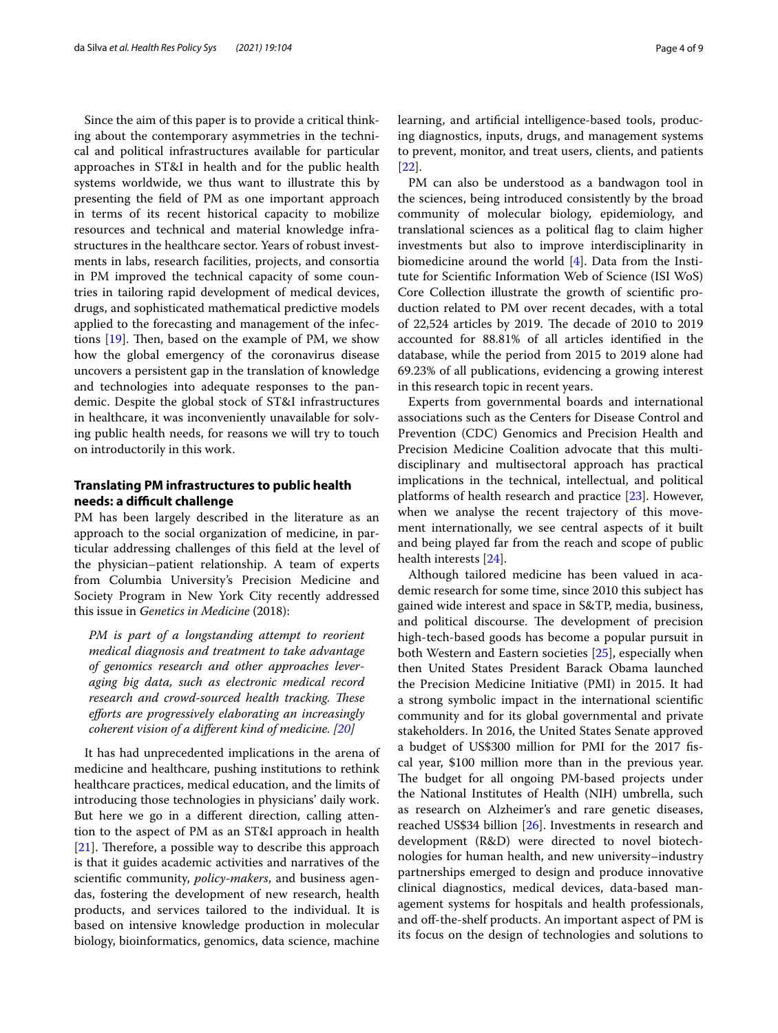Since the aim of this paper is to provide a critical thinking about the contemporary asymmetries in the technical and political infrastructures available for particular approaches in ST&I in health and for the public health systems worldwide, we thus want to illustrate this by presenting the feld of PM as one important approach in terms of its recent historical capacity to mobilize resources and technical and material knowledge infrastructures in the healthcare sector. Years of robust investments in labs, research facilities, projects, and consortia in PM improved the technical capacity of some countries in tailoring rapid development of medical devices, drugs, and sophisticated mathematical predictive models applied to the forecasting and management of the infections  $[19]$  $[19]$ . Then, based on the example of PM, we show how the global emergency of the coronavirus disease uncovers a persistent gap in the translation of knowledge and technologies into adequate responses to the pandemic. Despite the global stock of ST&I infrastructures in healthcare, it was inconveniently unavailable for solving public health needs, for reasons we will try to touch on introductorily in this work.

## **Translating PM infrastructures to public health needs: a difcult challenge**

PM has been largely described in the literature as an approach to the social organization of medicine, in particular addressing challenges of this feld at the level of the physician–patient relationship. A team of experts from Columbia University's Precision Medicine and Society Program in New York City recently addressed this issue in *Genetics in Medicine* (2018):

*PM is part of a longstanding attempt to reorient medical diagnosis and treatment to take advantage of genomics research and other approaches leveraging big data, such as electronic medical record research and crowd-sourced health tracking. These eforts are progressively elaborating an increasingly coherent vision of a different kind of medicine.* [\[20](#page-8-9)]

It has had unprecedented implications in the arena of medicine and healthcare, pushing institutions to rethink healthcare practices, medical education, and the limits of introducing those technologies in physicians' daily work. But here we go in a diferent direction, calling attention to the aspect of PM as an ST&I approach in health [ $21$ ]. Therefore, a possible way to describe this approach is that it guides academic activities and narratives of the scientifc community, *policy-makers*, and business agendas, fostering the development of new research, health products, and services tailored to the individual. It is based on intensive knowledge production in molecular biology, bioinformatics, genomics, data science, machine learning, and artifcial intelligence-based tools, producing diagnostics, inputs, drugs, and management systems to prevent, monitor, and treat users, clients, and patients [[22\]](#page-8-11).

PM can also be understood as a bandwagon tool in the sciences, being introduced consistently by the broad community of molecular biology, epidemiology, and translational sciences as a political fag to claim higher investments but also to improve interdisciplinarity in biomedicine around the world [\[4](#page-7-3)]. Data from the Institute for Scientifc Information Web of Science (ISI WoS) Core Collection illustrate the growth of scientifc production related to PM over recent decades, with a total of 22,524 articles by 2019. The decade of 2010 to 2019 accounted for 88.81% of all articles identifed in the database, while the period from 2015 to 2019 alone had 69.23% of all publications, evidencing a growing interest in this research topic in recent years.

Experts from governmental boards and international associations such as the Centers for Disease Control and Prevention (CDC) Genomics and Precision Health and Precision Medicine Coalition advocate that this multidisciplinary and multisectoral approach has practical implications in the technical, intellectual, and political platforms of health research and practice [[23\]](#page-8-12). However, when we analyse the recent trajectory of this movement internationally, we see central aspects of it built and being played far from the reach and scope of public health interests [[24\]](#page-8-13).

Although tailored medicine has been valued in academic research for some time, since 2010 this subject has gained wide interest and space in S&TP, media, business, and political discourse. The development of precision high-tech-based goods has become a popular pursuit in both Western and Eastern societies [\[25\]](#page-8-14), especially when then United States President Barack Obama launched the Precision Medicine Initiative (PMI) in 2015. It had a strong symbolic impact in the international scientifc community and for its global governmental and private stakeholders. In 2016, the United States Senate approved a budget of US\$300 million for PMI for the 2017 fscal year, \$100 million more than in the previous year. The budget for all ongoing PM-based projects under the National Institutes of Health (NIH) umbrella, such as research on Alzheimer's and rare genetic diseases, reached US\$34 billion [[26\]](#page-8-15). Investments in research and development (R&D) were directed to novel biotechnologies for human health, and new university–industry partnerships emerged to design and produce innovative clinical diagnostics, medical devices, data-based management systems for hospitals and health professionals, and off-the-shelf products. An important aspect of PM is its focus on the design of technologies and solutions to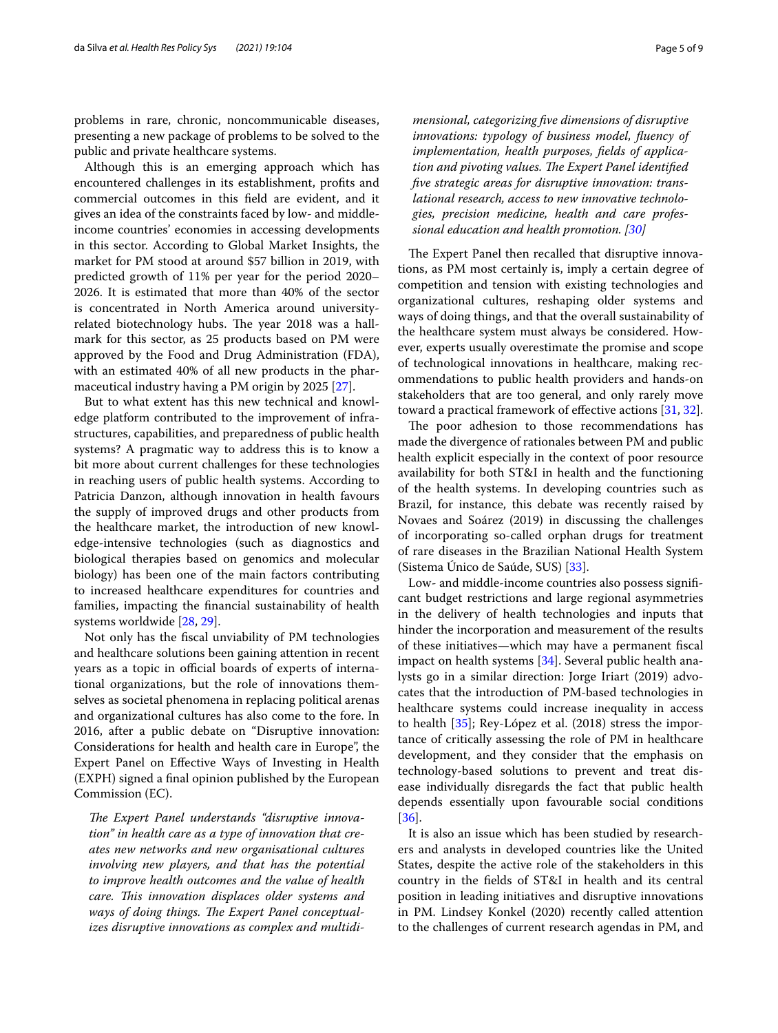problems in rare, chronic, noncommunicable diseases, presenting a new package of problems to be solved to the public and private healthcare systems.

Although this is an emerging approach which has encountered challenges in its establishment, profts and commercial outcomes in this feld are evident, and it gives an idea of the constraints faced by low- and middleincome countries' economies in accessing developments in this sector. According to Global Market Insights, the market for PM stood at around \$57 billion in 2019, with predicted growth of 11% per year for the period 2020– 2026. It is estimated that more than 40% of the sector is concentrated in North America around universityrelated biotechnology hubs. The year 2018 was a hallmark for this sector, as 25 products based on PM were approved by the Food and Drug Administration (FDA), with an estimated 40% of all new products in the pharmaceutical industry having a PM origin by 2025 [\[27\]](#page-8-16).

But to what extent has this new technical and knowledge platform contributed to the improvement of infrastructures, capabilities, and preparedness of public health systems? A pragmatic way to address this is to know a bit more about current challenges for these technologies in reaching users of public health systems. According to Patricia Danzon, although innovation in health favours the supply of improved drugs and other products from the healthcare market, the introduction of new knowledge-intensive technologies (such as diagnostics and biological therapies based on genomics and molecular biology) has been one of the main factors contributing to increased healthcare expenditures for countries and families, impacting the fnancial sustainability of health systems worldwide [\[28](#page-8-17), [29\]](#page-8-18).

Not only has the fscal unviability of PM technologies and healthcare solutions been gaining attention in recent years as a topic in official boards of experts of international organizations, but the role of innovations themselves as societal phenomena in replacing political arenas and organizational cultures has also come to the fore. In 2016, after a public debate on "Disruptive innovation: Considerations for health and health care in Europe", the Expert Panel on Efective Ways of Investing in Health (EXPH) signed a fnal opinion published by the European Commission (EC).

The Expert Panel understands "disruptive innova*tion" in health care as a type of innovation that creates new networks and new organisational cultures involving new players, and that has the potential to improve health outcomes and the value of health care. Tis innovation displaces older systems and*  ways of doing things. The Expert Panel conceptual*izes disruptive innovations as complex and multidi-*

*mensional, categorizing fve dimensions of disruptive innovations: typology of business model, fuency of implementation, health purposes, felds of application and pivoting values. The Expert Panel identified fve strategic areas for disruptive innovation: translational research, access to new innovative technologies, precision medicine, health and care professional education and health promotion. [\[30](#page-8-19)]*

The Expert Panel then recalled that disruptive innovations, as PM most certainly is, imply a certain degree of competition and tension with existing technologies and organizational cultures, reshaping older systems and ways of doing things, and that the overall sustainability of the healthcare system must always be considered. However, experts usually overestimate the promise and scope of technological innovations in healthcare, making recommendations to public health providers and hands-on stakeholders that are too general, and only rarely move toward a practical framework of efective actions [[31,](#page-8-20) [32](#page-8-21)].

The poor adhesion to those recommendations has made the divergence of rationales between PM and public health explicit especially in the context of poor resource availability for both ST&I in health and the functioning of the health systems. In developing countries such as Brazil, for instance, this debate was recently raised by Novaes and Soárez (2019) in discussing the challenges of incorporating so-called orphan drugs for treatment of rare diseases in the Brazilian National Health System (Sistema Único de Saúde, SUS) [[33\]](#page-8-22).

Low- and middle-income countries also possess signifcant budget restrictions and large regional asymmetries in the delivery of health technologies and inputs that hinder the incorporation and measurement of the results of these initiatives—which may have a permanent fscal impact on health systems [[34](#page-8-23)]. Several public health analysts go in a similar direction: Jorge Iriart (2019) advocates that the introduction of PM-based technologies in healthcare systems could increase inequality in access to health [[35](#page-8-24)]; Rey-López et al. (2018) stress the importance of critically assessing the role of PM in healthcare development, and they consider that the emphasis on technology-based solutions to prevent and treat disease individually disregards the fact that public health depends essentially upon favourable social conditions [[36\]](#page-8-25).

It is also an issue which has been studied by researchers and analysts in developed countries like the United States, despite the active role of the stakeholders in this country in the felds of ST&I in health and its central position in leading initiatives and disruptive innovations in PM. Lindsey Konkel (2020) recently called attention to the challenges of current research agendas in PM, and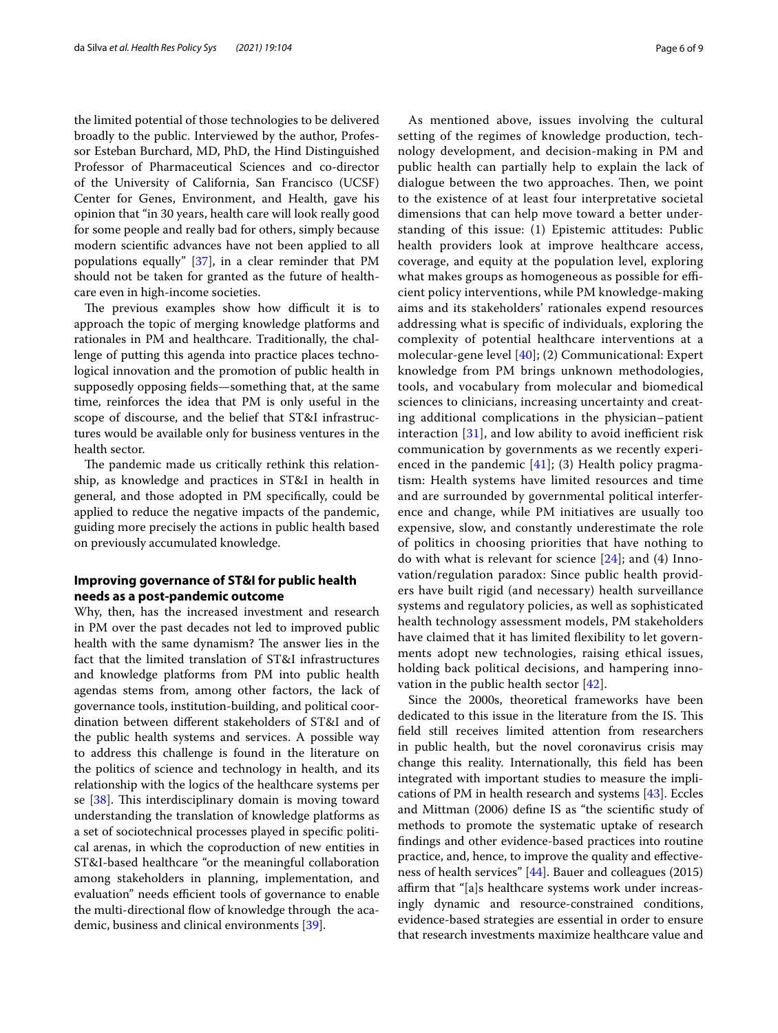the limited potential of those technologies to be delivered broadly to the public. Interviewed by the author, Professor Esteban Burchard, MD, PhD, the Hind Distinguished Professor of Pharmaceutical Sciences and co-director of the University of California, San Francisco (UCSF) Center for Genes, Environment, and Health, gave his opinion that "in 30 years, health care will look really good for some people and really bad for others, simply because modern scientifc advances have not been applied to all populations equally" [[37\]](#page-8-26), in a clear reminder that PM should not be taken for granted as the future of healthcare even in high-income societies.

The previous examples show how difficult it is to approach the topic of merging knowledge platforms and rationales in PM and healthcare. Traditionally, the challenge of putting this agenda into practice places technological innovation and the promotion of public health in supposedly opposing felds—something that, at the same time, reinforces the idea that PM is only useful in the scope of discourse, and the belief that ST&I infrastructures would be available only for business ventures in the health sector.

The pandemic made us critically rethink this relationship, as knowledge and practices in ST&I in health in general, and those adopted in PM specifcally, could be applied to reduce the negative impacts of the pandemic, guiding more precisely the actions in public health based on previously accumulated knowledge.

## **Improving governance of ST&I for public health needs as a post‑pandemic outcome**

Why, then, has the increased investment and research in PM over the past decades not led to improved public health with the same dynamism? The answer lies in the fact that the limited translation of ST&I infrastructures and knowledge platforms from PM into public health agendas stems from, among other factors, the lack of governance tools, institution-building, and political coordination between diferent stakeholders of ST&I and of the public health systems and services. A possible way to address this challenge is found in the literature on the politics of science and technology in health, and its relationship with the logics of the healthcare systems per se  $[38]$  $[38]$ . This interdisciplinary domain is moving toward understanding the translation of knowledge platforms as a set of sociotechnical processes played in specifc political arenas, in which the coproduction of new entities in ST&I-based healthcare "or the meaningful collaboration among stakeholders in planning, implementation, and evaluation" needs efficient tools of governance to enable the multi-directional flow of knowledge through the academic, business and clinical environments [\[39](#page-8-28)].

As mentioned above, issues involving the cultural setting of the regimes of knowledge production, technology development, and decision-making in PM and public health can partially help to explain the lack of dialogue between the two approaches. Then, we point to the existence of at least four interpretative societal dimensions that can help move toward a better understanding of this issue: (1) Epistemic attitudes: Public health providers look at improve healthcare access, coverage, and equity at the population level, exploring what makes groups as homogeneous as possible for efficient policy interventions, while PM knowledge-making aims and its stakeholders' rationales expend resources addressing what is specifc of individuals, exploring the complexity of potential healthcare interventions at a molecular-gene level [[40\]](#page-8-29); (2) Communicational: Expert knowledge from PM brings unknown methodologies, tools, and vocabulary from molecular and biomedical sciences to clinicians, increasing uncertainty and creating additional complications in the physician–patient interaction  $[31]$  $[31]$ , and low ability to avoid inefficient risk communication by governments as we recently experienced in the pandemic  $[41]$  $[41]$ ; (3) Health policy pragmatism: Health systems have limited resources and time and are surrounded by governmental political interference and change, while PM initiatives are usually too expensive, slow, and constantly underestimate the role of politics in choosing priorities that have nothing to do with what is relevant for science [[24](#page-8-13)]; and (4) Innovation/regulation paradox: Since public health providers have built rigid (and necessary) health surveillance systems and regulatory policies, as well as sophisticated health technology assessment models, PM stakeholders have claimed that it has limited flexibility to let governments adopt new technologies, raising ethical issues, holding back political decisions, and hampering innovation in the public health sector [\[42](#page-8-31)].

Since the 2000s, theoretical frameworks have been dedicated to this issue in the literature from the IS. This feld still receives limited attention from researchers in public health, but the novel coronavirus crisis may change this reality. Internationally, this feld has been integrated with important studies to measure the implications of PM in health research and systems [[43](#page-8-32)]. Eccles and Mittman (2006) defne IS as "the scientifc study of methods to promote the systematic uptake of research fndings and other evidence-based practices into routine practice, and, hence, to improve the quality and efectiveness of health services" [[44](#page-8-33)]. Bauer and colleagues (2015) affirm that "[a]s healthcare systems work under increasingly dynamic and resource-constrained conditions, evidence-based strategies are essential in order to ensure that research investments maximize healthcare value and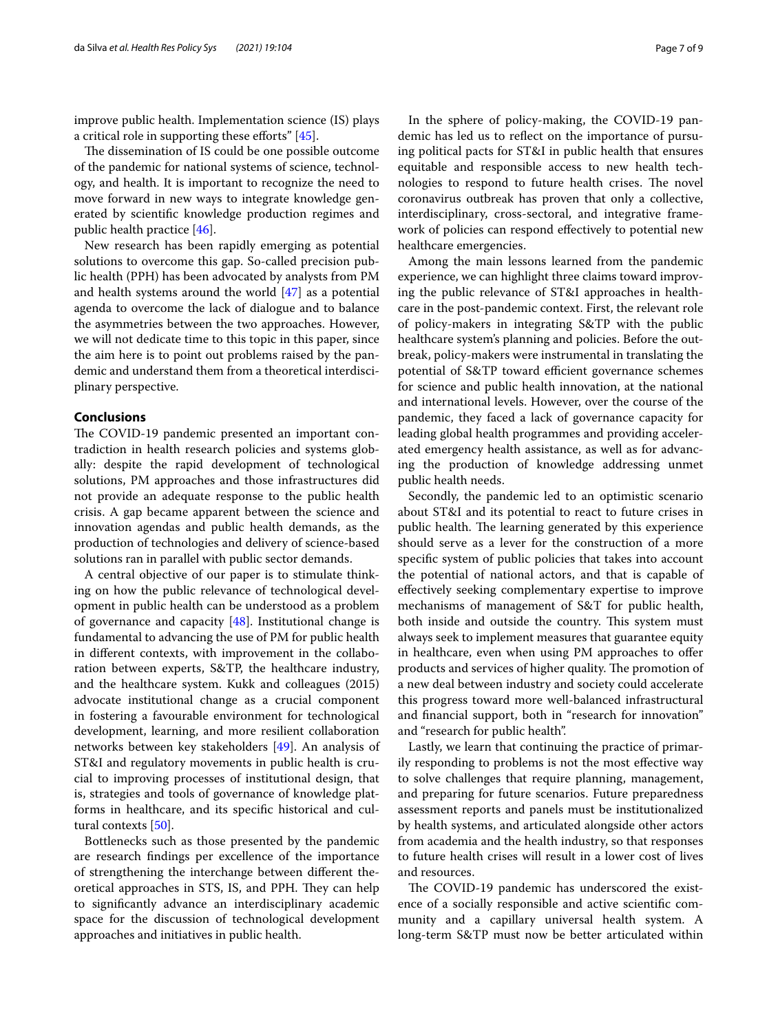improve public health. Implementation science (IS) plays a critical role in supporting these efforts"  $[45]$  $[45]$ .

The dissemination of IS could be one possible outcome of the pandemic for national systems of science, technology, and health. It is important to recognize the need to move forward in new ways to integrate knowledge generated by scientifc knowledge production regimes and public health practice [\[46](#page-8-35)].

New research has been rapidly emerging as potential solutions to overcome this gap. So-called precision public health (PPH) has been advocated by analysts from PM and health systems around the world [\[47](#page-8-36)] as a potential agenda to overcome the lack of dialogue and to balance the asymmetries between the two approaches. However, we will not dedicate time to this topic in this paper, since the aim here is to point out problems raised by the pandemic and understand them from a theoretical interdisciplinary perspective.

## **Conclusions**

The COVID-19 pandemic presented an important contradiction in health research policies and systems globally: despite the rapid development of technological solutions, PM approaches and those infrastructures did not provide an adequate response to the public health crisis. A gap became apparent between the science and innovation agendas and public health demands, as the production of technologies and delivery of science-based solutions ran in parallel with public sector demands.

A central objective of our paper is to stimulate thinking on how the public relevance of technological development in public health can be understood as a problem of governance and capacity  $[48]$  $[48]$ . Institutional change is fundamental to advancing the use of PM for public health in diferent contexts, with improvement in the collaboration between experts, S&TP, the healthcare industry, and the healthcare system. Kukk and colleagues (2015) advocate institutional change as a crucial component in fostering a favourable environment for technological development, learning, and more resilient collaboration networks between key stakeholders [\[49\]](#page-8-38). An analysis of ST&I and regulatory movements in public health is crucial to improving processes of institutional design, that is, strategies and tools of governance of knowledge platforms in healthcare, and its specifc historical and cultural contexts [\[50\]](#page-8-39).

Bottlenecks such as those presented by the pandemic are research fndings per excellence of the importance of strengthening the interchange between diferent theoretical approaches in STS, IS, and PPH. They can help to signifcantly advance an interdisciplinary academic space for the discussion of technological development approaches and initiatives in public health.

In the sphere of policy-making, the COVID-19 pandemic has led us to refect on the importance of pursuing political pacts for ST&I in public health that ensures equitable and responsible access to new health technologies to respond to future health crises. The novel coronavirus outbreak has proven that only a collective, interdisciplinary, cross-sectoral, and integrative framework of policies can respond efectively to potential new healthcare emergencies.

Among the main lessons learned from the pandemic experience, we can highlight three claims toward improving the public relevance of ST&I approaches in healthcare in the post-pandemic context. First, the relevant role of policy-makers in integrating S&TP with the public healthcare system's planning and policies. Before the outbreak, policy-makers were instrumental in translating the potential of S&TP toward efficient governance schemes for science and public health innovation, at the national and international levels. However, over the course of the pandemic, they faced a lack of governance capacity for leading global health programmes and providing accelerated emergency health assistance, as well as for advancing the production of knowledge addressing unmet public health needs.

Secondly, the pandemic led to an optimistic scenario about ST&I and its potential to react to future crises in public health. The learning generated by this experience should serve as a lever for the construction of a more specifc system of public policies that takes into account the potential of national actors, and that is capable of efectively seeking complementary expertise to improve mechanisms of management of S&T for public health, both inside and outside the country. This system must always seek to implement measures that guarantee equity in healthcare, even when using PM approaches to offer products and services of higher quality. The promotion of a new deal between industry and society could accelerate this progress toward more well-balanced infrastructural and fnancial support, both in "research for innovation" and "research for public health".

Lastly, we learn that continuing the practice of primarily responding to problems is not the most efective way to solve challenges that require planning, management, and preparing for future scenarios. Future preparedness assessment reports and panels must be institutionalized by health systems, and articulated alongside other actors from academia and the health industry, so that responses to future health crises will result in a lower cost of lives and resources.

The COVID-19 pandemic has underscored the existence of a socially responsible and active scientifc community and a capillary universal health system. A long-term S&TP must now be better articulated within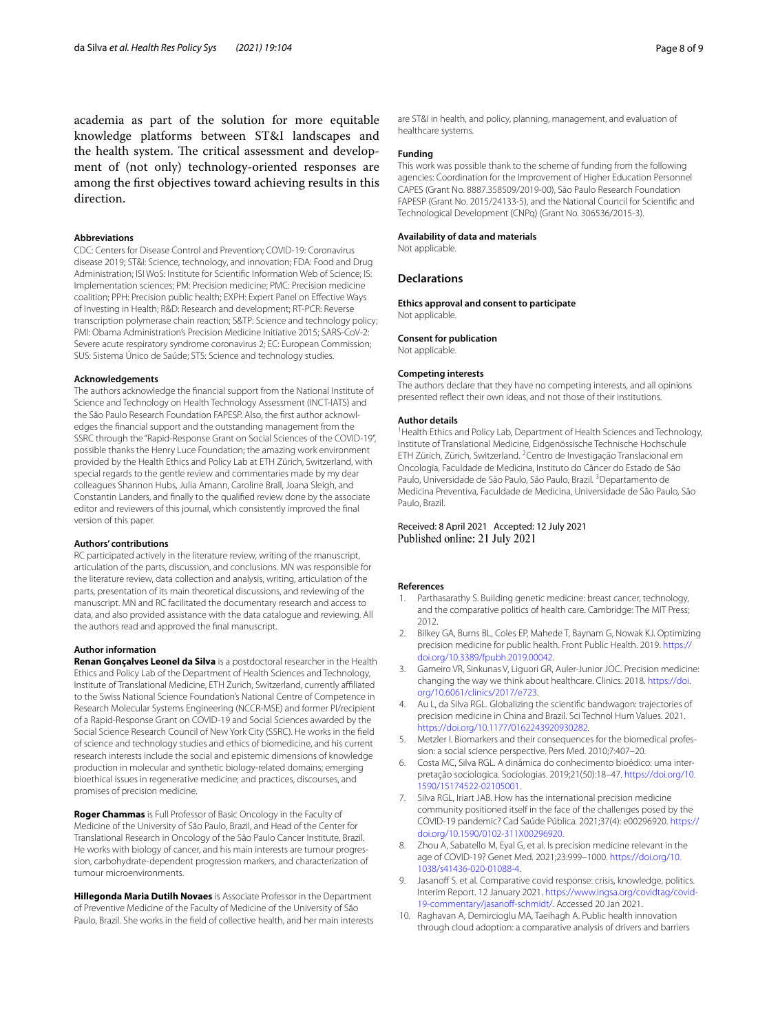academia as part of the solution for more equitable knowledge platforms between ST&I landscapes and the health system. The critical assessment and development of (not only) technology-oriented responses are among the frst objectives toward achieving results in this direction.

### **Abbreviations**

CDC: Centers for Disease Control and Prevention; COVID-19: Coronavirus disease 2019; ST&I: Science, technology, and innovation; FDA: Food and Drug Administration; ISI WoS: Institute for Scientifc Information Web of Science; IS: Implementation sciences; PM: Precision medicine; PMC: Precision medicine coalition; PPH: Precision public health; EXPH: Expert Panel on Efective Ways of Investing in Health; R&D: Research and development; RT-PCR: Reverse transcription polymerase chain reaction; S&TP: Science and technology policy; PMI: Obama Administration's Precision Medicine Initiative 2015; SARS-CoV-2: Severe acute respiratory syndrome coronavirus 2; EC: European Commission; SUS: Sistema Único de Saúde; STS: Science and technology studies.

#### **Acknowledgements**

The authors acknowledge the fnancial support from the National Institute of Science and Technology on Health Technology Assessment (INCT-IATS) and the São Paulo Research Foundation FAPESP. Also, the frst author acknowledges the fnancial support and the outstanding management from the SSRC through the "Rapid-Response Grant on Social Sciences of the COVID-19", possible thanks the Henry Luce Foundation; the amazing work environment provided by the Health Ethics and Policy Lab at ETH Zürich, Switzerland, with special regards to the gentle review and commentaries made by my dear colleagues Shannon Hubs, Julia Amann, Caroline Brall, Joana Sleigh, and Constantin Landers, and fnally to the qualifed review done by the associate editor and reviewers of this journal, which consistently improved the fnal version of this paper.

#### **Authors' contributions**

RC participated actively in the literature review, writing of the manuscript, articulation of the parts, discussion, and conclusions. MN was responsible for the literature review, data collection and analysis, writing, articulation of the parts, presentation of its main theoretical discussions, and reviewing of the manuscript. MN and RC facilitated the documentary research and access to data, and also provided assistance with the data catalogue and reviewing. All the authors read and approved the fnal manuscript.

#### **Author information**

**Renan Gonçalves Leonel da Silva** is a postdoctoral researcher in the Health Ethics and Policy Lab of the Department of Health Sciences and Technology, Institute of Translational Medicine, ETH Zurich, Switzerland, currently afliated to the Swiss National Science Foundation's National Centre of Competence in Research Molecular Systems Engineering (NCCR-MSE) and former PI/recipient of a Rapid-Response Grant on COVID-19 and Social Sciences awarded by the Social Science Research Council of New York City (SSRC). He works in the feld of science and technology studies and ethics of biomedicine, and his current research interests include the social and epistemic dimensions of knowledge production in molecular and synthetic biology-related domains; emerging bioethical issues in regenerative medicine; and practices, discourses, and promises of precision medicine.

**Roger Chammas** is Full Professor of Basic Oncology in the Faculty of Medicine of the University of São Paulo, Brazil, and Head of the Center for Translational Research in Oncology of the São Paulo Cancer Institute, Brazil. He works with biology of cancer, and his main interests are tumour progression, carbohydrate-dependent progression markers, and characterization of tumour microenvironments.

**Hillegonda Maria Dutilh Novaes** is Associate Professor in the Department of Preventive Medicine of the Faculty of Medicine of the University of São Paulo, Brazil. She works in the feld of collective health, and her main interests are ST&I in health, and policy, planning, management, and evaluation of healthcare systems.

### **Funding**

This work was possible thank to the scheme of funding from the following agencies: Coordination for the Improvement of Higher Education Personnel CAPES (Grant No. 8887.358509/2019-00), São Paulo Research Foundation FAPESP (Grant No. 2015/24133-5), and the National Council for Scientifc and Technological Development (CNPq) (Grant No. 306536/2015-3).

#### **Availability of data and materials**

Not applicable.

#### **Declarations**

**Ethics approval and consent to participate** Not applicable.

#### **Consent for publication**

Not applicable.

#### **Competing interests**

The authors declare that they have no competing interests, and all opinions presented refect their own ideas, and not those of their institutions.

### **Author details**

<sup>1</sup> Health Ethics and Policy Lab, Department of Health Sciences and Technology, Institute of Translational Medicine, Eidgenössische Technische Hochschule ETH Zürich, Zürich, Switzerland. <sup>2</sup> Centro de Investigação Translacional em Oncologia, Faculdade de Medicina, Instituto do Câncer do Estado de São Paulo, Universidade de São Paulo, São Paulo, Brazil.<sup>3</sup> Departamento de Medicina Preventiva, Faculdade de Medicina, Universidade de São Paulo, São Paulo, Brazil.

Received: 8 April 2021 Accepted: 12 July 2021 Published online: 21 July 2021

#### **References**

- <span id="page-7-0"></span>1. Parthasarathy S. Building genetic medicine: breast cancer, technology, and the comparative politics of health care. Cambridge: The MIT Press; 2012.
- <span id="page-7-1"></span>2. Bilkey GA, Burns BL, Coles EP, Mahede T, Baynam G, Nowak KJ. Optimizing precision medicine for public health. Front Public Health. 2019. [https://](https://doi.org/10.3389/fpubh.2019.00042) [doi.org/10.3389/fpubh.2019.00042](https://doi.org/10.3389/fpubh.2019.00042).
- <span id="page-7-2"></span>3. Gameiro VR, Sinkunas V, Liguori GR, Auler-Junior JOC. Precision medicine: changing the way we think about healthcare. Clinics. 2018. [https://doi.](https://doi.org/10.6061/clinics/2017/e723) [org/10.6061/clinics/2017/e723](https://doi.org/10.6061/clinics/2017/e723).
- <span id="page-7-3"></span>4. Au L, da Silva RGL. Globalizing the scientifc bandwagon: trajectories of precision medicine in China and Brazil. Sci Technol Hum Values. 2021. <https://doi.org/10.1177/0162243920930282>.
- <span id="page-7-4"></span>5. Metzler I. Biomarkers and their consequences for the biomedical profession: a social science perspective. Pers Med. 2010;7:407–20.
- <span id="page-7-5"></span>6. Costa MC, Silva RGL. A dinâmica do conhecimento bioédico: uma interpretação sociologica. Sociologias. 2019;21(50):18–47. [https://doi.org/10.](https://doi.org/10.1590/15174522-02105001) [1590/15174522-02105001.](https://doi.org/10.1590/15174522-02105001)
- <span id="page-7-6"></span>7. Silva RGL, Iriart JAB. How has the international precision medicine community positioned itself in the face of the challenges posed by the COVID-19 pandemic? Cad Saúde Pública. 2021;37(4): e00296920. [https://](https://doi.org/10.1590/0102-311X00296920) [doi.org/10.1590/0102-311X00296920.](https://doi.org/10.1590/0102-311X00296920)
- <span id="page-7-7"></span>8. Zhou A, Sabatello M, Eyal G, et al. Is precision medicine relevant in the age of COVID-19? Genet Med. 2021;23:999–1000. [https://doi.org/10.](https://doi.org/10.1038/s41436-020-01088-4) [1038/s41436-020-01088-4.](https://doi.org/10.1038/s41436-020-01088-4)
- <span id="page-7-8"></span>Jasanoff S. et al. Comparative covid response: crisis, knowledge, politics. Interim Report. 12 January 2021. [https://www.ingsa.org/covidtag/covid-](https://www.ingsa.org/covidtag/covid-19-commentary/jasanoff-schmidt/)19-commentary/jasanoff-schmidt/. Accessed 20 Jan 2021.
- <span id="page-7-9"></span>10. Raghavan A, Demircioglu MA, Taeihagh A. Public health innovation through cloud adoption: a comparative analysis of drivers and barriers